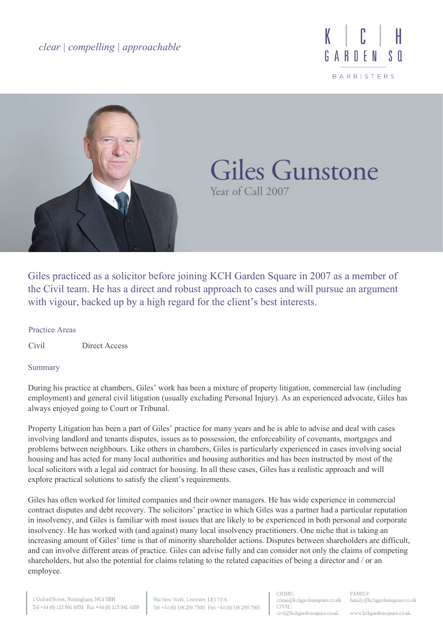*clear | compelling | approachable*





# Giles Gunstone Year of Call 2007

Giles practiced as a solicitor before joining KCH Garden Square in 2007 as a member of the Civil team. He has a direct and robust approach to cases and will pursue an argument with vigour, backed up by a high regard for the client's best interests.

### Practice Areas

Civil Direct Access

### Summary

During his practice at chambers, Giles' work has been a mixture of property litigation, commercial law (including employment) and general civil litigation (usually excluding Personal Injury). As an experienced advocate, Giles has always enjoyed going to Court or Tribunal.

Property Litigation has been a part of Giles' practice for many years and he is able to advise and deal with cases involving landlord and tenants disputes, issues as to possession, the enforceability of covenants, mortgages and problems between neighbours. Like others in chambers, Giles is particularly experienced in cases involving social housing and has acted for many local authorities and housing authorities and has been instructed by most of the local solicitors with a legal aid contract for housing. In all these cases, Giles has a realistic approach and will explore practical solutions to satisfy the client's requirements.

Giles has often worked for limited companies and their owner managers. He has wide experience in commercial contract disputes and debt recovery. The solicitors' practice in which Giles was a partner had a particular reputation in insolvency, and Giles is familiar with most issues that are likely to be experienced in both personal and corporate insolvency. He has worked with (and against) many local insolvency practitioners. One niche that is taking an increasing amount of Giles' time is that of minority shareholder actions. Disputes between shareholders are difficult, and can involve different areas of practice. Giles can advise fully and can consider not only the claims of competing shareholders, but also the potential for claims relating to the related capacities of being a director and / or an employee.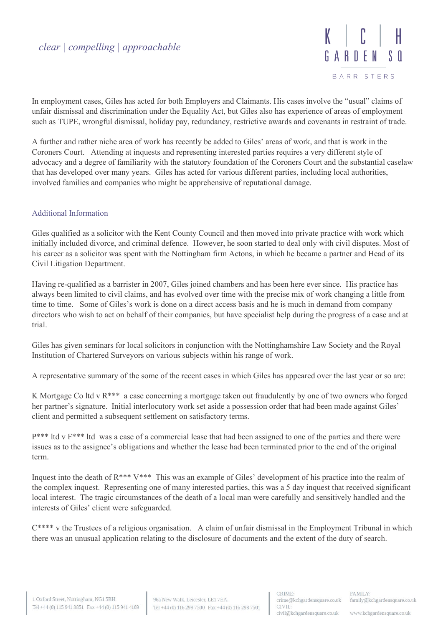

In employment cases, Giles has acted for both Employers and Claimants. His cases involve the "usual" claims of unfair dismissal and discrimination under the Equality Act, but Giles also has experience of areas of employment such as TUPE, wrongful dismissal, holiday pay, redundancy, restrictive awards and covenants in restraint of trade.

A further and rather niche area of work has recently be added to Giles' areas of work, and that is work in the Coroners Court. Attending at inquests and representing interested parties requires a very different style of advocacy and a degree of familiarity with the statutory foundation of the Coroners Court and the substantial caselaw that has developed over many years. Giles has acted for various different parties, including local authorities, involved families and companies who might be apprehensive of reputational damage.

# Additional Information

Giles qualified as a solicitor with the Kent County Council and then moved into private practice with work which initially included divorce, and criminal defence. However, he soon started to deal only with civil disputes. Most of his career as a solicitor was spent with the Nottingham firm Actons, in which he became a partner and Head of its Civil Litigation Department.

Having re-qualified as a barrister in 2007, Giles joined chambers and has been here ever since. His practice has always been limited to civil claims, and has evolved over time with the precise mix of work changing a little from time to time. Some of Giles's work is done on a direct access basis and he is much in demand from company directors who wish to act on behalf of their companies, but have specialist help during the progress of a case and at trial.

Giles has given seminars for local solicitors in conjunction with the Nottinghamshire Law Society and the Royal Institution of Chartered Surveyors on various subjects within his range of work.

A representative summary of the some of the recent cases in which Giles has appeared over the last year or so are:

K Mortgage Co ltd v R\*\*\* a case concerning a mortgage taken out fraudulently by one of two owners who forged her partner's signature. Initial interlocutory work set aside a possession order that had been made against Giles' client and permitted a subsequent settlement on satisfactory terms.

P\*\*\* ltd v F\*\*\* ltd was a case of a commercial lease that had been assigned to one of the parties and there were issues as to the assignee's obligations and whether the lease had been terminated prior to the end of the original term.

Inquest into the death of R\*\*\* V\*\*\* This was an example of Giles' development of his practice into the realm of the complex inquest. Representing one of many interested parties, this was a 5 day inquest that received significant local interest. The tragic circumstances of the death of a local man were carefully and sensitively handled and the interests of Giles' client were safeguarded.

 $C^{***}$  v the Trustees of a religious organisation. A claim of unfair dismissal in the Employment Tribunal in which there was an unusual application relating to the disclosure of documents and the extent of the duty of search.

www.kchgardensquare.co.uk